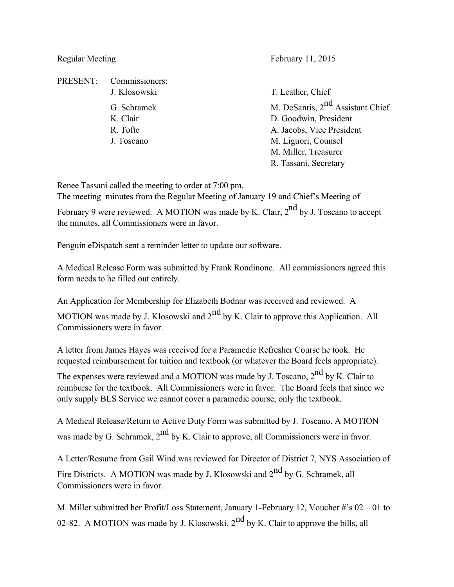Regular Meeting February 11, 2015

PRESENT: Commissioners: J. Klosowski T. Leather, Chief G. Schramek M. DeSantis, 2<sup>nd</sup> Assistant Chief K. Clair D. Goodwin, President R. Tofte A. Jacobs, Vice President J. Toscano M. Liguori, Counsel M. Miller, Treasurer R. Tassani, Secretary

Renee Tassani called the meeting to order at 7:00 pm.

The meeting minutes from the Regular Meeting of January 19 and Chief's Meeting of

February 9 were reviewed. A MOTION was made by K. Clair,  $2^{nd}$  by J. Toscano to accept the minutes, all Commissioners were in favor.

Penguin eDispatch sent a reminder letter to update our software.

A Medical Release Form was submitted by Frank Rondinone. All commissioners agreed this form needs to be filled out entirely.

An Application for Membership for Elizabeth Bodnar was received and reviewed. A MOTION was made by J. Klosowski and  $2<sup>nd</sup>$  by K. Clair to approve this Application. All Commissioners were in favor.

A letter from James Hayes was received for a Paramedic Refresher Course he took. He requested reimbursement for tuition and textbook (or whatever the Board feels appropriate).

The expenses were reviewed and a MOTION was made by J. Toscano, 2<sup>nd</sup> by K. Clair to reimburse for the textbook. All Commissioners were in favor. The Board feels that since we only supply BLS Service we cannot cover a paramedic course, only the textbook.

A Medical Release/Return to Active Duty Form was submitted by J. Toscano. A MOTION was made by G. Schramek,  $2<sup>nd</sup>$  by K. Clair to approve, all Commissioners were in favor.

A Letter/Resume from Gail Wind was reviewed for Director of District 7, NYS Association of Fire Districts. A MOTION was made by J. Klosowski and  $2^{nd}$  by G. Schramek, all Commissioners were in favor.

M. Miller submitted her Profit/Loss Statement, January 1-February 12, Voucher #'s 02—01 to 02-82. A MOTION was made by J. Klosowski,  $2<sup>nd</sup>$  by K. Clair to approve the bills, all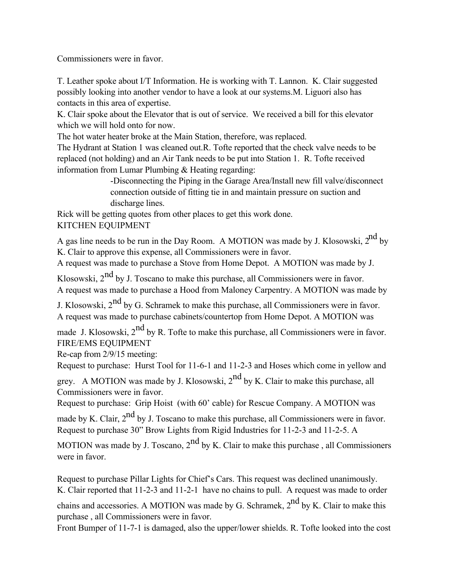Commissioners were in favor.

T. Leather spoke about I/T Information. He is working with T. Lannon. K. Clair suggested possibly looking into another vendor to have a look at our systems.M. Liguori also has contacts in this area of expertise.

K. Clair spoke about the Elevator that is out of service. We received a bill for this elevator which we will hold onto for now.

The hot water heater broke at the Main Station, therefore, was replaced.

The Hydrant at Station 1 was cleaned out.R. Tofte reported that the check valve needs to be replaced (not holding) and an Air Tank needs to be put into Station 1. R. Tofte received information from Lumar Plumbing & Heating regarding:

> -Disconnecting the Piping in the Garage Area/Install new fill valve/disconnect connection outside of fitting tie in and maintain pressure on suction and discharge lines.

Rick will be getting quotes from other places to get this work done. KITCHEN EQUIPMENT

A gas line needs to be run in the Day Room. A MOTION was made by J. Klosowski, 2<sup>nd</sup> by K. Clair to approve this expense, all Commissioners were in favor.

A request was made to purchase a Stove from Home Depot. A MOTION was made by J.

Klosowski,  $2^{nd}$  by J. Toscano to make this purchase, all Commissioners were in favor. A request was made to purchase a Hood from Maloney Carpentry. A MOTION was made by

J. Klosowski,  $2<sup>nd</sup>$  by G. Schramek to make this purchase, all Commissioners were in favor. A request was made to purchase cabinets/countertop from Home Depot. A MOTION was

made J. Klosowski,  $2^{nd}$  by R. Tofte to make this purchase, all Commissioners were in favor. FIRE/EMS EQUIPMENT

Re-cap from 2/9/15 meeting:

Request to purchase: Hurst Tool for 11-6-1 and 11-2-3 and Hoses which come in yellow and

grey. A MOTION was made by J. Klosowski,  $2<sup>nd</sup>$  by K. Clair to make this purchase, all Commissioners were in favor.

Request to purchase: Grip Hoist (with 60' cable) for Rescue Company. A MOTION was made by K. Clair,  $2<sup>nd</sup>$  by J. Toscano to make this purchase, all Commissioners were in favor.

Request to purchase 30" Brow Lights from Rigid Industries for 11-2-3 and 11-2-5. A

MOTION was made by J. Toscano,  $2<sup>nd</sup>$  by K. Clair to make this purchase, all Commissioners were in favor.

Request to purchase Pillar Lights for Chief's Cars. This request was declined unanimously. K. Clair reported that 11-2-3 and 11-2-1 have no chains to pull. A request was made to order

chains and accessories. A MOTION was made by G. Schramek,  $2^{nd}$  by K. Clair to make this purchase , all Commissioners were in favor.

Front Bumper of 11-7-1 is damaged, also the upper/lower shields. R. Tofte looked into the cost